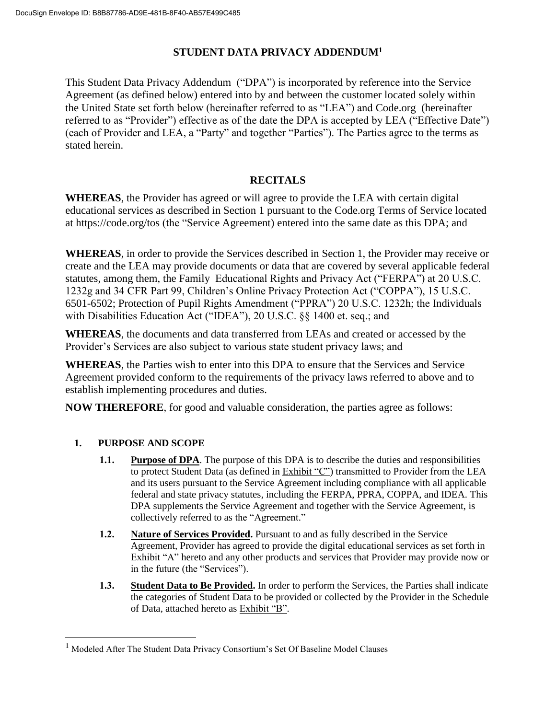## **STUDENT DATA PRIVACY ADDENDUM<sup>1</sup>**

This Student Data Privacy Addendum ("DPA") is incorporated by reference into the Service Agreement (as defined below) entered into by and between the customer located solely within the United State set forth below (hereinafter referred to as "LEA") and Code.org (hereinafter referred to as "Provider") effective as of the date the DPA is accepted by LEA ("Effective Date") (each of Provider and LEA, a "Party" and together "Parties"). The Parties agree to the terms as stated herein.

## **RECITALS**

**WHEREAS**, the Provider has agreed or will agree to provide the LEA with certain digital educational services as described in Section 1 pursuant to the Code.org Terms of Service located at https://code.org/tos (the "Service Agreement) entered into the same date as this DPA; and

**WHEREAS**, in order to provide the Services described in Section 1, the Provider may receive or create and the LEA may provide documents or data that are covered by several applicable federal statutes, among them, the Family Educational Rights and Privacy Act ("FERPA") at 20 U.S.C. 1232g and 34 CFR Part 99, Children's Online Privacy Protection Act ("COPPA"), 15 U.S.C. 6501-6502; Protection of Pupil Rights Amendment ("PPRA") 20 U.S.C. 1232h; the Individuals with Disabilities Education Act ("IDEA"), 20 U.S.C. §§ 1400 et. seq.; and

**WHEREAS**, the documents and data transferred from LEAs and created or accessed by the Provider's Services are also subject to various state student privacy laws; and

**WHEREAS**, the Parties wish to enter into this DPA to ensure that the Services and Service Agreement provided conform to the requirements of the privacy laws referred to above and to establish implementing procedures and duties.

**NOW THEREFORE**, for good and valuable consideration, the parties agree as follows:

## **1. PURPOSE AND SCOPE**

 $\overline{a}$ 

- **1.1. Purpose of DPA**. The purpose of this DPA is to describe the duties and responsibilities to protect Student Data (as defined in Exhibit "C") transmitted to Provider from the LEA and its users pursuant to the Service Agreement including compliance with all applicable federal and state privacy statutes, including the FERPA, PPRA, COPPA, and IDEA. This DPA supplements the Service Agreement and together with the Service Agreement, is collectively referred to as the "Agreement."
- **1.2. Nature of Services Provided.** Pursuant to and as fully described in the Service Agreement, Provider has agreed to provide the digital educational services as set forth in Exhibit "A" hereto and any other products and services that Provider may provide now or in the future (the "Services").
- **1.3. Student Data to Be Provided.** In order to perform the Services, the Parties shall indicate the categories of Student Data to be provided or collected by the Provider in the Schedule of Data, attached hereto as Exhibit "B".

<sup>&</sup>lt;sup>1</sup> Modeled After The Student Data Privacy Consortium's Set Of Baseline Model Clauses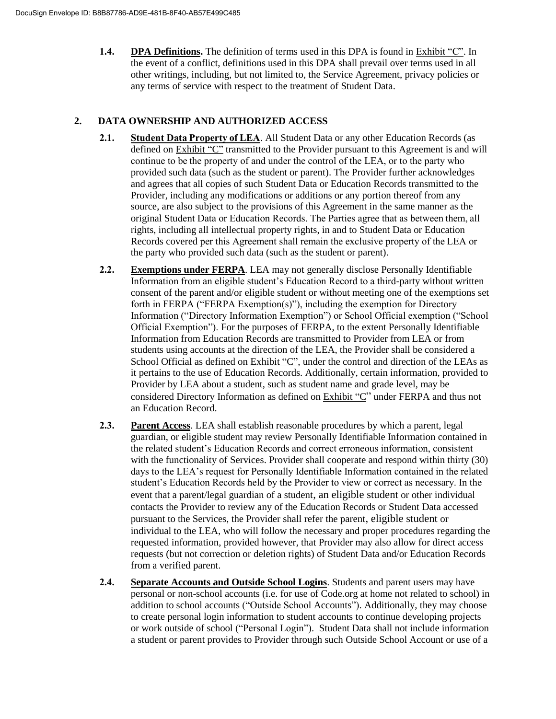**1.4. DPA Definitions.** The definition of terms used in this DPA is found in Exhibit "C". In the event of a conflict, definitions used in this DPA shall prevail over terms used in all other writings, including, but not limited to, the Service Agreement, privacy policies or any terms of service with respect to the treatment of Student Data.

#### **2. DATA OWNERSHIP AND AUTHORIZED ACCESS**

- **2.1. Student Data Property of LEA**. All Student Data or any other Education Records (as defined on Exhibit "C" transmitted to the Provider pursuant to this Agreement is and will continue to be the property of and under the control of the LEA, or to the party who provided such data (such as the student or parent). The Provider further acknowledges and agrees that all copies of such Student Data or Education Records transmitted to the Provider, including any modifications or additions or any portion thereof from any source, are also subject to the provisions of this Agreement in the same manner as the original Student Data or Education Records. The Parties agree that as between them, all rights, including all intellectual property rights, in and to Student Data or Education Records covered per this Agreement shall remain the exclusive property of the LEA or the party who provided such data (such as the student or parent).
- **2.2. Exemptions under FERPA**. LEA may not generally disclose Personally Identifiable Information from an eligible student's Education Record to a third-party without written consent of the parent and/or eligible student or without meeting one of the exemptions set forth in FERPA ("FERPA Exemption(s)"), including the exemption for Directory Information ("Directory Information Exemption") or School Official exemption ("School Official Exemption"). For the purposes of FERPA, to the extent Personally Identifiable Information from Education Records are transmitted to Provider from LEA or from students using accounts at the direction of the LEA, the Provider shall be considered a School Official as defined on Exhibit "C", under the control and direction of the LEAs as it pertains to the use of Education Records. Additionally, certain information, provided to Provider by LEA about a student, such as student name and grade level, may be considered Directory Information as defined on Exhibit "C" under FERPA and thus not an Education Record.
- **2.3. Parent Access**. LEA shall establish reasonable procedures by which a parent, legal guardian, or eligible student may review Personally Identifiable Information contained in the related student's Education Records and correct erroneous information, consistent with the functionality of Services. Provider shall cooperate and respond within thirty (30) days to the LEA's request for Personally Identifiable Information contained in the related student's Education Records held by the Provider to view or correct as necessary. In the event that a parent/legal guardian of a student, an eligible student or other individual contacts the Provider to review any of the Education Records or Student Data accessed pursuant to the Services, the Provider shall refer the parent, eligible student or individual to the LEA, who will follow the necessary and proper procedures regarding the requested information, provided however, that Provider may also allow for direct access requests (but not correction or deletion rights) of Student Data and/or Education Records from a verified parent.
- **2.4. Separate Accounts and Outside School Logins**. Students and parent users may have personal or non-school accounts (i.e. for use of Code.org at home not related to school) in addition to school accounts ("Outside School Accounts"). Additionally, they may choose to create personal login information to student accounts to continue developing projects or work outside of school ("Personal Login"). Student Data shall not include information a student or parent provides to Provider through such Outside School Account or use of a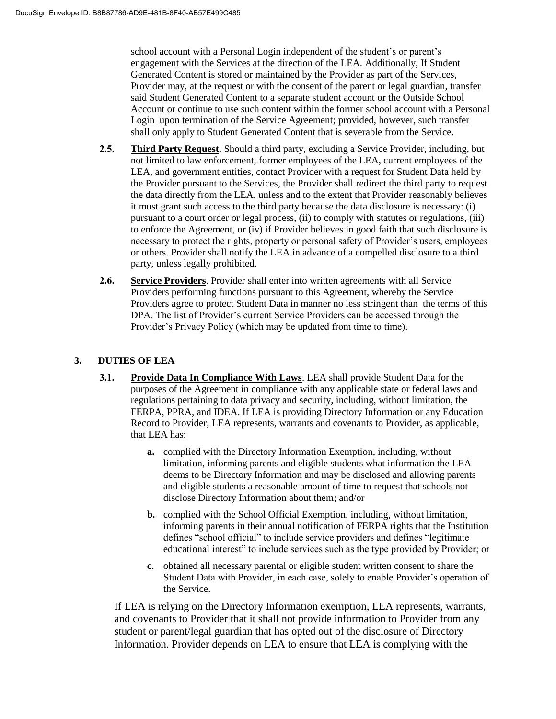school account with a Personal Login independent of the student's or parent's engagement with the Services at the direction of the LEA. Additionally, If Student Generated Content is stored or maintained by the Provider as part of the Services, Provider may, at the request or with the consent of the parent or legal guardian, transfer said Student Generated Content to a separate student account or the Outside School Account or continue to use such content within the former school account with a Personal Login upon termination of the Service Agreement; provided, however, such transfer shall only apply to Student Generated Content that is severable from the Service.

- **2.5. Third Party Request**. Should a third party, excluding a Service Provider, including, but not limited to law enforcement, former employees of the LEA, current employees of the LEA, and government entities, contact Provider with a request for Student Data held by the Provider pursuant to the Services, the Provider shall redirect the third party to request the data directly from the LEA, unless and to the extent that Provider reasonably believes it must grant such access to the third party because the data disclosure is necessary: (i) pursuant to a court order or legal process, (ii) to comply with statutes or regulations, (iii) to enforce the Agreement, or (iv) if Provider believes in good faith that such disclosure is necessary to protect the rights, property or personal safety of Provider's users, employees or others. Provider shall notify the LEA in advance of a compelled disclosure to a third party, unless legally prohibited.
- **2.6. Service Providers**. Provider shall enter into written agreements with all Service Providers performing functions pursuant to this Agreement, whereby the Service Providers agree to protect Student Data in manner no less stringent than the terms of this DPA. The list of Provider's current Service Providers can be accessed through the Provider's Privacy Policy (which may be updated from time to time).

#### **3. DUTIES OF LEA**

- **3.1. Provide Data In Compliance With Laws**. LEA shall provide Student Data for the purposes of the Agreement in compliance with any applicable state or federal laws and regulations pertaining to data privacy and security, including, without limitation, the FERPA, PPRA, and IDEA. If LEA is providing Directory Information or any Education Record to Provider, LEA represents, warrants and covenants to Provider, as applicable, that LEA has:
	- **a.** complied with the Directory Information Exemption, including, without limitation, informing parents and eligible students what information the LEA deems to be Directory Information and may be disclosed and allowing parents and eligible students a reasonable amount of time to request that schools not disclose Directory Information about them; and/or
	- **b.** complied with the School Official Exemption, including, without limitation, informing parents in their annual notification of FERPA rights that the Institution defines "school official" to include service providers and defines "legitimate educational interest" to include services such as the type provided by Provider; or
	- **c.** obtained all necessary parental or eligible student written consent to share the Student Data with Provider, in each case, solely to enable Provider's operation of the Service.

If LEA is relying on the Directory Information exemption, LEA represents, warrants, and covenants to Provider that it shall not provide information to Provider from any student or parent/legal guardian that has opted out of the disclosure of Directory Information. Provider depends on LEA to ensure that LEA is complying with the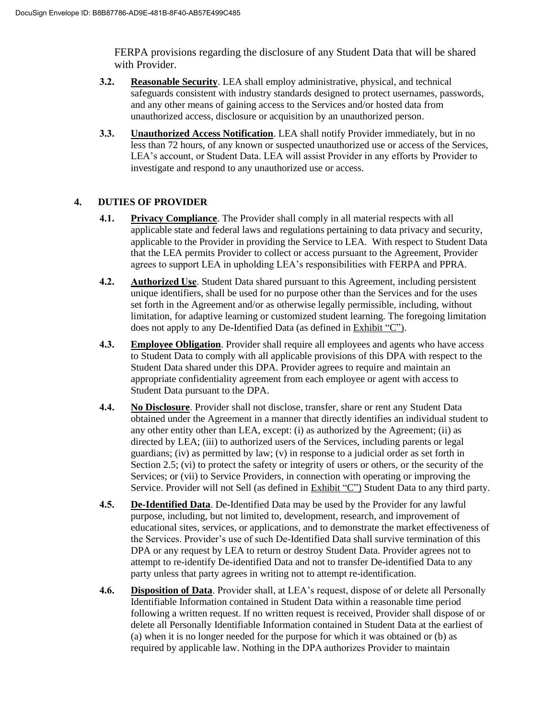FERPA provisions regarding the disclosure of any Student Data that will be shared with Provider.

- **3.2. Reasonable Security**. LEA shall employ administrative, physical, and technical safeguards consistent with industry standards designed to protect usernames, passwords, and any other means of gaining access to the Services and/or hosted data from unauthorized access, disclosure or acquisition by an unauthorized person.
- **3.3. Unauthorized Access Notification**. LEA shall notify Provider immediately, but in no less than 72 hours, of any known or suspected unauthorized use or access of the Services, LEA's account, or Student Data. LEA will assist Provider in any efforts by Provider to investigate and respond to any unauthorized use or access.

#### **4. DUTIES OF PROVIDER**

- **4.1. Privacy Compliance**. The Provider shall comply in all material respects with all applicable state and federal laws and regulations pertaining to data privacy and security, applicable to the Provider in providing the Service to LEA. With respect to Student Data that the LEA permits Provider to collect or access pursuant to the Agreement, Provider agrees to support LEA in upholding LEA's responsibilities with FERPA and PPRA.
- **4.2. Authorized Use**. Student Data shared pursuant to this Agreement, including persistent unique identifiers, shall be used for no purpose other than the Services and for the uses set forth in the Agreement and/or as otherwise legally permissible, including, without limitation, for adaptive learning or customized student learning. The foregoing limitation does not apply to any De-Identified Data (as defined in Exhibit "C").
- **4.3. Employee Obligation**. Provider shall require all employees and agents who have access to Student Data to comply with all applicable provisions of this DPA with respect to the Student Data shared under this DPA. Provider agrees to require and maintain an appropriate confidentiality agreement from each employee or agent with access to Student Data pursuant to the DPA.
- **4.4. No Disclosure**. Provider shall not disclose, transfer, share or rent any Student Data obtained under the Agreement in a manner that directly identifies an individual student to any other entity other than LEA, except: (i) as authorized by the Agreement; (ii) as directed by LEA; (iii) to authorized users of the Services, including parents or legal guardians; (iv) as permitted by law; (v) in response to a judicial order as set forth in Section 2.5; (vi) to protect the safety or integrity of users or others, or the security of the Services; or (vii) to Service Providers, in connection with operating or improving the Service. Provider will not Sell (as defined in Exhibit "C") Student Data to any third party.
- **4.5. De-Identified Data**. De-Identified Data may be used by the Provider for any lawful purpose, including, but not limited to, development, research, and improvement of educational sites, services, or applications, and to demonstrate the market effectiveness of the Services. Provider's use of such De-Identified Data shall survive termination of this DPA or any request by LEA to return or destroy Student Data. Provider agrees not to attempt to re-identify De-identified Data and not to transfer De-identified Data to any party unless that party agrees in writing not to attempt re-identification.
- **4.6. Disposition of Data**. Provider shall, at LEA's request, dispose of or delete all Personally Identifiable Information contained in Student Data within a reasonable time period following a written request. If no written request is received, Provider shall dispose of or delete all Personally Identifiable Information contained in Student Data at the earliest of (a) when it is no longer needed for the purpose for which it was obtained or (b) as required by applicable law. Nothing in the DPA authorizes Provider to maintain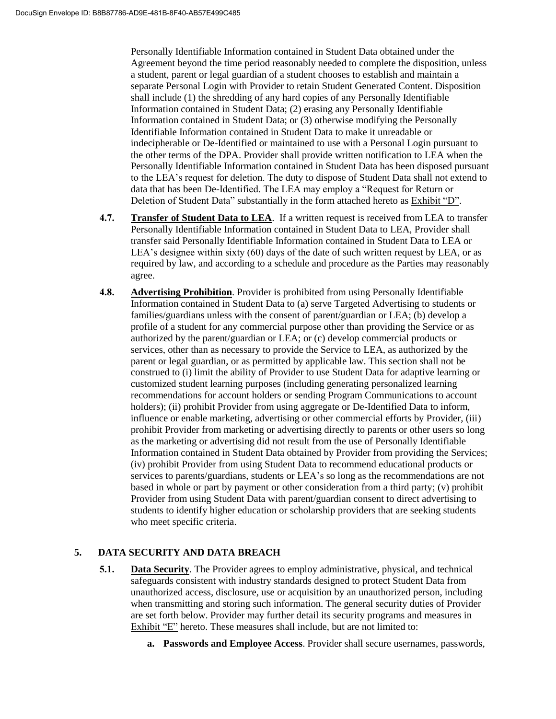Personally Identifiable Information contained in Student Data obtained under the Agreement beyond the time period reasonably needed to complete the disposition, unless a student, parent or legal guardian of a student chooses to establish and maintain a separate Personal Login with Provider to retain Student Generated Content. Disposition shall include (1) the shredding of any hard copies of any Personally Identifiable Information contained in Student Data; (2) erasing any Personally Identifiable Information contained in Student Data; or (3) otherwise modifying the Personally Identifiable Information contained in Student Data to make it unreadable or indecipherable or De-Identified or maintained to use with a Personal Login pursuant to the other terms of the DPA. Provider shall provide written notification to LEA when the Personally Identifiable Information contained in Student Data has been disposed pursuant to the LEA's request for deletion. The duty to dispose of Student Data shall not extend to data that has been De-Identified. The LEA may employ a "Request for Return or Deletion of Student Data" substantially in the form attached hereto as Exhibit "D".

- **4.7. Transfer of Student Data to LEA**. If a written request is received from LEA to transfer Personally Identifiable Information contained in Student Data to LEA, Provider shall transfer said Personally Identifiable Information contained in Student Data to LEA or LEA's designee within sixty (60) days of the date of such written request by LEA, or as required by law, and according to a schedule and procedure as the Parties may reasonably agree.
- **4.8. Advertising Prohibition**. Provider is prohibited from using Personally Identifiable Information contained in Student Data to (a) serve Targeted Advertising to students or families/guardians unless with the consent of parent/guardian or LEA; (b) develop a profile of a student for any commercial purpose other than providing the Service or as authorized by the parent/guardian or LEA; or (c) develop commercial products or services, other than as necessary to provide the Service to LEA, as authorized by the parent or legal guardian, or as permitted by applicable law. This section shall not be construed to (i) limit the ability of Provider to use Student Data for adaptive learning or customized student learning purposes (including generating personalized learning recommendations for account holders or sending Program Communications to account holders); (ii) prohibit Provider from using aggregate or De-Identified Data to inform, influence or enable marketing, advertising or other commercial efforts by Provider, (iii) prohibit Provider from marketing or advertising directly to parents or other users so long as the marketing or advertising did not result from the use of Personally Identifiable Information contained in Student Data obtained by Provider from providing the Services; (iv) prohibit Provider from using Student Data to recommend educational products or services to parents/guardians, students or LEA's so long as the recommendations are not based in whole or part by payment or other consideration from a third party; (v) prohibit Provider from using Student Data with parent/guardian consent to direct advertising to students to identify higher education or scholarship providers that are seeking students who meet specific criteria.

## **5. DATA SECURITY AND DATA BREACH**

- **5.1. Data Security**. The Provider agrees to employ administrative, physical, and technical safeguards consistent with industry standards designed to protect Student Data from unauthorized access, disclosure, use or acquisition by an unauthorized person, including when transmitting and storing such information. The general security duties of Provider are set forth below. Provider may further detail its security programs and measures in Exhibit "E" hereto. These measures shall include, but are not limited to:
	- **a. Passwords and Employee Access**. Provider shall secure usernames, passwords,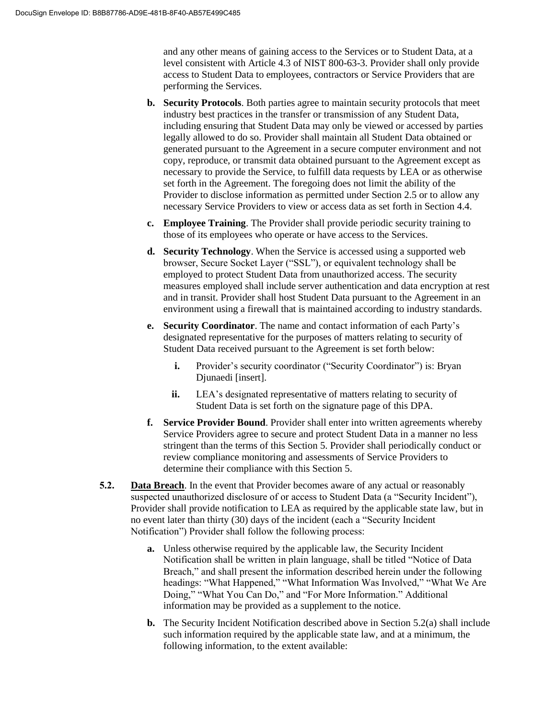and any other means of gaining access to the Services or to Student Data, at a level consistent with Article 4.3 of NIST 800-63-3. Provider shall only provide access to Student Data to employees, contractors or Service Providers that are performing the Services.

- **b. Security Protocols**. Both parties agree to maintain security protocols that meet industry best practices in the transfer or transmission of any Student Data, including ensuring that Student Data may only be viewed or accessed by parties legally allowed to do so. Provider shall maintain all Student Data obtained or generated pursuant to the Agreement in a secure computer environment and not copy, reproduce, or transmit data obtained pursuant to the Agreement except as necessary to provide the Service, to fulfill data requests by LEA or as otherwise set forth in the Agreement. The foregoing does not limit the ability of the Provider to disclose information as permitted under Section 2.5 or to allow any necessary Service Providers to view or access data as set forth in Section 4.4.
- **c. Employee Training**. The Provider shall provide periodic security training to those of its employees who operate or have access to the Services.
- **d. Security Technology**. When the Service is accessed using a supported web browser, Secure Socket Layer ("SSL"), or equivalent technology shall be employed to protect Student Data from unauthorized access. The security measures employed shall include server authentication and data encryption at rest and in transit. Provider shall host Student Data pursuant to the Agreement in an environment using a firewall that is maintained according to industry standards.
- **e. Security Coordinator**. The name and contact information of each Party's designated representative for the purposes of matters relating to security of Student Data received pursuant to the Agreement is set forth below:
	- **i.** Provider's security coordinator ("Security Coordinator") is: Bryan Djunaedi [insert].
	- **ii.** LEA's designated representative of matters relating to security of Student Data is set forth on the signature page of this DPA.
- **f. Service Provider Bound**. Provider shall enter into written agreements whereby Service Providers agree to secure and protect Student Data in a manner no less stringent than the terms of this Section 5. Provider shall periodically conduct or review compliance monitoring and assessments of Service Providers to determine their compliance with this Section 5.
- **5.2. Data Breach**. In the event that Provider becomes aware of any actual or reasonably suspected unauthorized disclosure of or access to Student Data (a "Security Incident"), Provider shall provide notification to LEA as required by the applicable state law, but in no event later than thirty (30) days of the incident (each a "Security Incident Notification") Provider shall follow the following process:
	- **a.** Unless otherwise required by the applicable law, the Security Incident Notification shall be written in plain language, shall be titled "Notice of Data Breach," and shall present the information described herein under the following headings: "What Happened," "What Information Was Involved," "What We Are Doing," "What You Can Do," and "For More Information." Additional information may be provided as a supplement to the notice.
	- **b.** The Security Incident Notification described above in Section 5.2(a) shall include such information required by the applicable state law, and at a minimum, the following information, to the extent available: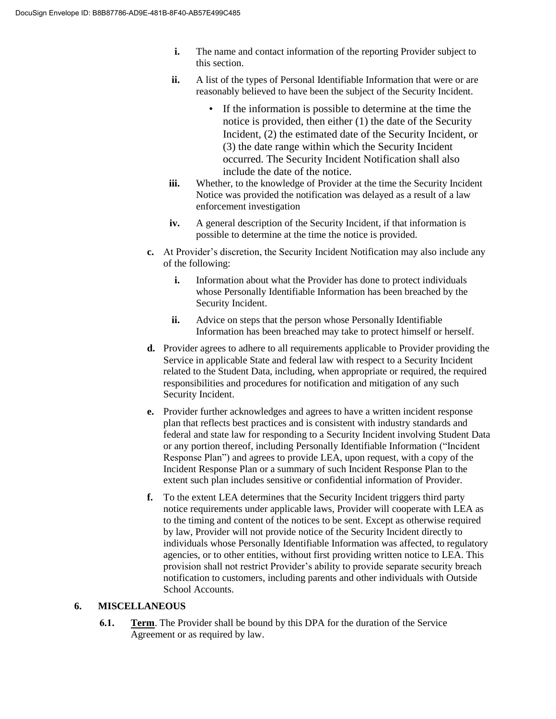- **i.** The name and contact information of the reporting Provider subject to this section.
- **ii.** A list of the types of Personal Identifiable Information that were or are reasonably believed to have been the subject of the Security Incident.
	- If the information is possible to determine at the time the notice is provided, then either (1) the date of the Security Incident, (2) the estimated date of the Security Incident, or (3) the date range within which the Security Incident occurred. The Security Incident Notification shall also include the date of the notice.
- **iii.** Whether, to the knowledge of Provider at the time the Security Incident Notice was provided the notification was delayed as a result of a law enforcement investigation
- **iv.** A general description of the Security Incident, if that information is possible to determine at the time the notice is provided.
- **c.** At Provider's discretion, the Security Incident Notification may also include any of the following:
	- **i.** Information about what the Provider has done to protect individuals whose Personally Identifiable Information has been breached by the Security Incident.
	- **ii.** Advice on steps that the person whose Personally Identifiable Information has been breached may take to protect himself or herself.
- **d.** Provider agrees to adhere to all requirements applicable to Provider providing the Service in applicable State and federal law with respect to a Security Incident related to the Student Data, including, when appropriate or required, the required responsibilities and procedures for notification and mitigation of any such Security Incident.
- **e.** Provider further acknowledges and agrees to have a written incident response plan that reflects best practices and is consistent with industry standards and federal and state law for responding to a Security Incident involving Student Data or any portion thereof, including Personally Identifiable Information ("Incident Response Plan") and agrees to provide LEA, upon request, with a copy of the Incident Response Plan or a summary of such Incident Response Plan to the extent such plan includes sensitive or confidential information of Provider.
- **f.** To the extent LEA determines that the Security Incident triggers third party notice requirements under applicable laws, Provider will cooperate with LEA as to the timing and content of the notices to be sent. Except as otherwise required by law, Provider will not provide notice of the Security Incident directly to individuals whose Personally Identifiable Information was affected, to regulatory agencies, or to other entities, without first providing written notice to LEA. This provision shall not restrict Provider's ability to provide separate security breach notification to customers, including parents and other individuals with Outside School Accounts.

#### **6. MISCELLANEOUS**

**6.1. Term**. The Provider shall be bound by this DPA for the duration of the Service Agreement or as required by law.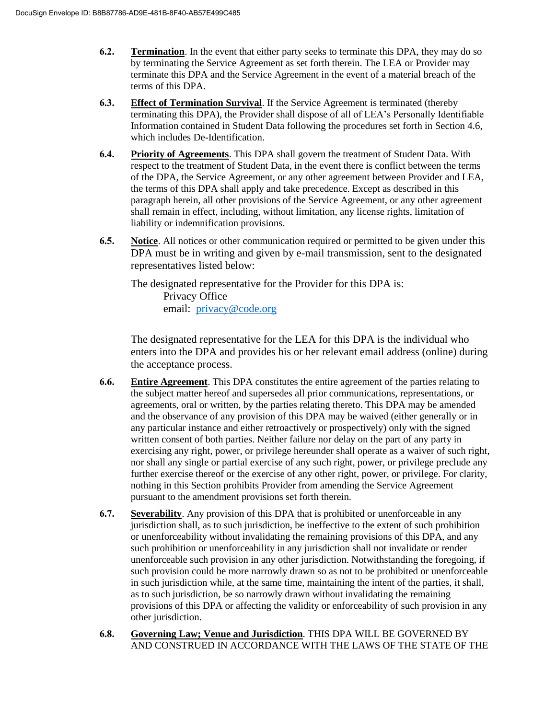- **6.2. Termination**. In the event that either party seeks to terminate this DPA, they may do so by terminating the Service Agreement as set forth therein. The LEA or Provider may terminate this DPA and the Service Agreement in the event of a material breach of the terms of this DPA.
- **6.3. Effect of Termination Survival**. If the Service Agreement is terminated (thereby terminating this DPA), the Provider shall dispose of all of LEA's Personally Identifiable Information contained in Student Data following the procedures set forth in Section 4.6, which includes De-Identification.
- **6.4. Priority of Agreements**. This DPA shall govern the treatment of Student Data. With respect to the treatment of Student Data, in the event there is conflict between the terms of the DPA, the Service Agreement, or any other agreement between Provider and LEA, the terms of this DPA shall apply and take precedence. Except as described in this paragraph herein, all other provisions of the Service Agreement, or any other agreement shall remain in effect, including, without limitation, any license rights, limitation of liability or indemnification provisions.
- **6.5. Notice**. All notices or other communication required or permitted to be given under this DPA must be in writing and given by e-mail transmission, sent to the designated representatives listed below:

The designated representative for the Provider for this DPA is: Privacy Office email: [privacy@code.org](mailto:privacy@code.org)

The designated representative for the LEA for this DPA is the individual who enters into the DPA and provides his or her relevant email address (online) during the acceptance process.

- **6.6. Entire Agreement**. This DPA constitutes the entire agreement of the parties relating to the subject matter hereof and supersedes all prior communications, representations, or agreements, oral or written, by the parties relating thereto. This DPA may be amended and the observance of any provision of this DPA may be waived (either generally or in any particular instance and either retroactively or prospectively) only with the signed written consent of both parties. Neither failure nor delay on the part of any party in exercising any right, power, or privilege hereunder shall operate as a waiver of such right, nor shall any single or partial exercise of any such right, power, or privilege preclude any further exercise thereof or the exercise of any other right, power, or privilege. For clarity, nothing in this Section prohibits Provider from amending the Service Agreement pursuant to the amendment provisions set forth therein.
- **6.7. Severability**. Any provision of this DPA that is prohibited or unenforceable in any jurisdiction shall, as to such jurisdiction, be ineffective to the extent of such prohibition or unenforceability without invalidating the remaining provisions of this DPA, and any such prohibition or unenforceability in any jurisdiction shall not invalidate or render unenforceable such provision in any other jurisdiction. Notwithstanding the foregoing, if such provision could be more narrowly drawn so as not to be prohibited or unenforceable in such jurisdiction while, at the same time, maintaining the intent of the parties, it shall, as to such jurisdiction, be so narrowly drawn without invalidating the remaining provisions of this DPA or affecting the validity or enforceability of such provision in any other jurisdiction.
- **6.8. Governing Law; Venue and Jurisdiction**. THIS DPA WILL BE GOVERNED BY AND CONSTRUED IN ACCORDANCE WITH THE LAWS OF THE STATE OF THE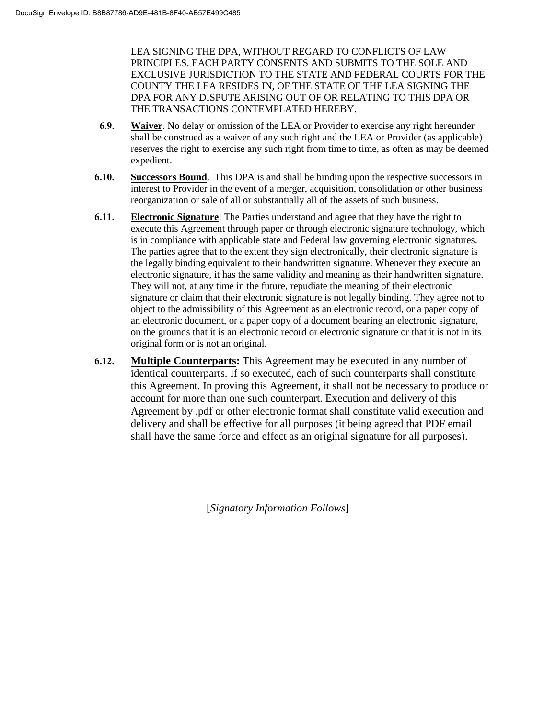LEA SIGNING THE DPA, WITHOUT REGARD TO CONFLICTS OF LAW PRINCIPLES. EACH PARTY CONSENTS AND SUBMITS TO THE SOLE AND EXCLUSIVE JURISDICTION TO THE STATE AND FEDERAL COURTS FOR THE COUNTY THE LEA RESIDES IN, OF THE STATE OF THE LEA SIGNING THE DPA FOR ANY DISPUTE ARISING OUT OF OR RELATING TO THIS DPA OR THE TRANSACTIONS CONTEMPLATED HEREBY.

- **6.9. Waiver**. No delay or omission of the LEA or Provider to exercise any right hereunder shall be construed as a waiver of any such right and the LEA or Provider (as applicable) reserves the right to exercise any such right from time to time, as often as may be deemed expedient.
- **6.10. Successors Bound**. This DPA is and shall be binding upon the respective successors in interest to Provider in the event of a merger, acquisition, consolidation or other business reorganization or sale of all or substantially all of the assets of such business.
- **6.11. Electronic Signature**: The Parties understand and agree that they have the right to execute this Agreement through paper or through electronic signature technology, which is in compliance with applicable state and Federal law governing electronic signatures. The parties agree that to the extent they sign electronically, their electronic signature is the legally binding equivalent to their handwritten signature. Whenever they execute an electronic signature, it has the same validity and meaning as their handwritten signature. They will not, at any time in the future, repudiate the meaning of their electronic signature or claim that their electronic signature is not legally binding. They agree not to object to the admissibility of this Agreement as an electronic record, or a paper copy of an electronic document, or a paper copy of a document bearing an electronic signature, on the grounds that it is an electronic record or electronic signature or that it is not in its original form or is not an original.
- **6.12. Multiple Counterparts:** This Agreement may be executed in any number of identical counterparts. If so executed, each of such counterparts shall constitute this Agreement. In proving this Agreement, it shall not be necessary to produce or account for more than one such counterpart. Execution and delivery of this Agreement by .pdf or other electronic format shall constitute valid execution and delivery and shall be effective for all purposes (it being agreed that PDF email shall have the same force and effect as an original signature for all purposes).

[*Signatory Information Follows*]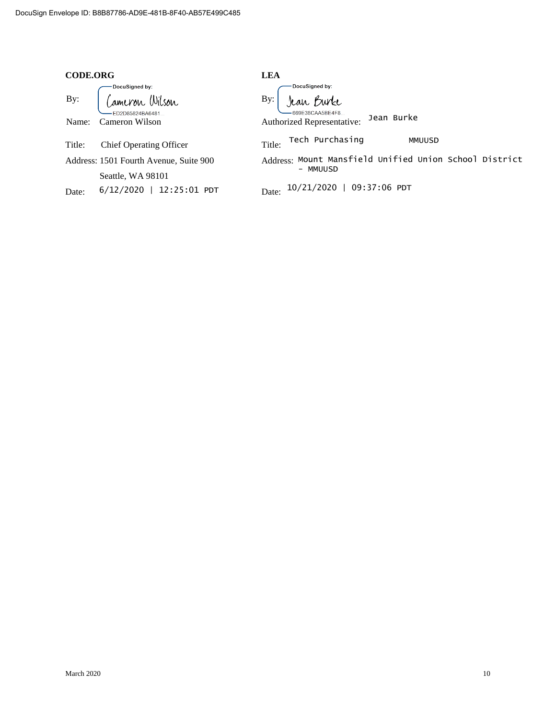| <b>CODE.ORG</b>                                                                       | <b>LEA</b>                                                                                         |  |  |
|---------------------------------------------------------------------------------------|----------------------------------------------------------------------------------------------------|--|--|
| DocuSigned by:<br>Cameron Wilson<br>By:<br>FD2D85824BA6481<br>Cameron Wilson<br>Name: | DocuSigned by:<br>Jean Burke<br>By:<br>669F38CAA5BF4F8<br>Jean Burke<br>Authorized Representative: |  |  |
| Title:<br><b>Chief Operating Officer</b>                                              | Tech Purchasing<br>MMUUSD<br>Title:                                                                |  |  |
| Address: 1501 Fourth Avenue, Suite 900                                                | Address: Mount Mansfield Unified Union School District<br>- MMUUSD                                 |  |  |
| Seattle, WA 98101                                                                     |                                                                                                    |  |  |
| 12:25:01 PDT<br>$6/12/2020$  <br>Date:                                                | 10/21/2020   09:37:06 PDT<br>Date:                                                                 |  |  |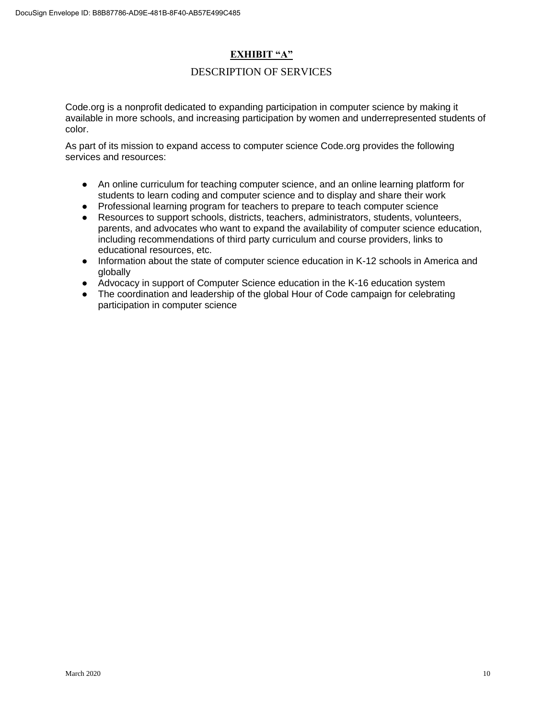### **EXHIBIT "A"**

#### DESCRIPTION OF SERVICES

Code.org is a nonprofit dedicated to expanding participation in computer science by making it available in more schools, and increasing participation by women and underrepresented students of color.

As part of its mission to expand access to computer science Code.org provides the following services and resources:

- An online curriculum for teaching computer science, and an online learning platform for students to learn coding and computer science and to display and share their work
- Professional learning program for teachers to prepare to teach computer science
- Resources to support schools, districts, teachers, administrators, students, volunteers, parents, and advocates who want to expand the availability of computer science education, including recommendations of third party curriculum and course providers, links to educational resources, etc.
- Information about the state of computer science education in K-12 schools in America and globally
- Advocacy in support of Computer Science education in the K-16 education system
- The coordination and leadership of the global Hour of Code campaign for celebrating participation in computer science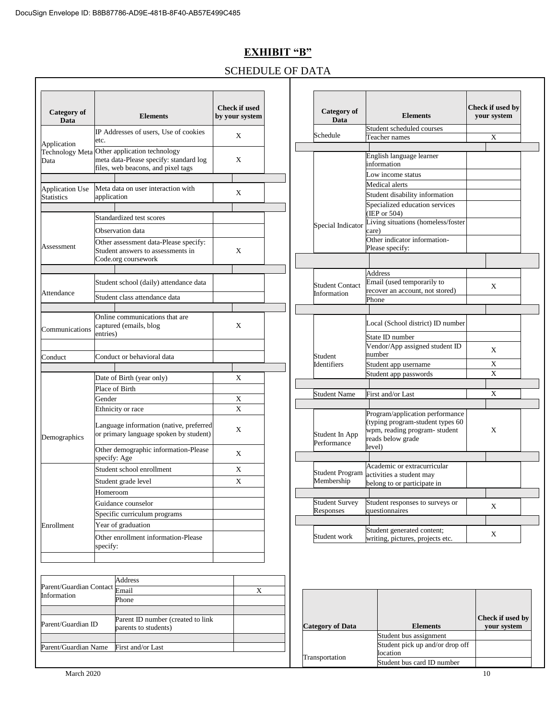## **EXHIBIT "B"**

## SCHEDULE OF DATA

| <b>Category</b> of<br>Data                  | <b>Elements</b>                                                                                                              | <b>Check if used</b><br>by your system | <b>Category</b> of<br>Data    | <b>Elements</b>                                                                                                          | Check if used by<br>vour system |
|---------------------------------------------|------------------------------------------------------------------------------------------------------------------------------|----------------------------------------|-------------------------------|--------------------------------------------------------------------------------------------------------------------------|---------------------------------|
|                                             | IP Addresses of users. Use of cookies                                                                                        |                                        | Schedule                      | Student scheduled courses                                                                                                |                                 |
| Application                                 | etc.                                                                                                                         | X                                      |                               | Teacher names                                                                                                            | X                               |
| Data                                        | Technology Meta Other application technology<br>meta data-Please specify: standard log<br>files, web beacons, and pixel tags | X                                      |                               | English language learner<br>information<br>Low income status                                                             |                                 |
|                                             |                                                                                                                              |                                        |                               | Medical alerts                                                                                                           |                                 |
| <b>Application Use</b><br><b>Statistics</b> | Meta data on user interaction with<br>application                                                                            | X                                      |                               | Student disability information                                                                                           |                                 |
|                                             |                                                                                                                              |                                        |                               | Specialized education services                                                                                           |                                 |
|                                             | Standardized test scores                                                                                                     |                                        |                               | (IEP or 504)                                                                                                             |                                 |
|                                             | Observation data                                                                                                             |                                        | Special Indicator             | Living situations (homeless/foster<br>care)                                                                              |                                 |
| Assessment                                  | Other assessment data-Please specify:<br>Student answers to assessments in                                                   | X                                      |                               | Other indicator information-<br>Please specify:                                                                          |                                 |
|                                             | Code.org coursework                                                                                                          |                                        |                               |                                                                                                                          |                                 |
|                                             | Student school (daily) attendance data                                                                                       |                                        | <b>Student Contact</b>        | <b>Address</b><br>Email (used temporarily to                                                                             | X                               |
| Attendance                                  | Student class attendance data                                                                                                |                                        | Information                   | recover an account, not stored)<br>Phone                                                                                 |                                 |
|                                             |                                                                                                                              |                                        |                               |                                                                                                                          |                                 |
| Communications                              | Online communications that are<br>captured (emails, blog                                                                     | X                                      |                               | Local (School district) ID number                                                                                        |                                 |
|                                             | entries)                                                                                                                     |                                        |                               | State ID number                                                                                                          |                                 |
| Conduct                                     | Conduct or behavioral data                                                                                                   |                                        | Student                       | Vendor/App assigned student ID<br>number                                                                                 | X                               |
|                                             |                                                                                                                              |                                        | Identifiers                   | Student app username                                                                                                     | X                               |
|                                             | Date of Birth (year only)                                                                                                    | X                                      |                               | Student app passwords                                                                                                    | X                               |
|                                             | Place of Birth                                                                                                               |                                        |                               |                                                                                                                          |                                 |
|                                             | Gender                                                                                                                       | $\mathbf X$                            | <b>Student Name</b>           | First and/or Last                                                                                                        | X                               |
|                                             | Ethnicity or race                                                                                                            | $\mathbf X$                            |                               |                                                                                                                          |                                 |
| Demographics                                | Language information (native, preferred<br>or primary language spoken by student)                                            | X                                      | Student In App<br>Performance | Program/application performance<br>(typing program-student types 60<br>wpm, reading program-student<br>reads below grade | X                               |
|                                             | Other demographic information-Please<br>specify: Age                                                                         | X                                      |                               | level)                                                                                                                   |                                 |
|                                             | Student school enrollment                                                                                                    | $\mathbf X$                            | <b>Student Program</b>        | Academic or extracurricular                                                                                              |                                 |
|                                             | Student grade level                                                                                                          | X                                      | Membership                    | activities a student may<br>belong to or participate in                                                                  |                                 |
|                                             | Homeroom                                                                                                                     |                                        |                               |                                                                                                                          |                                 |
|                                             | Guidance counselor                                                                                                           |                                        | <b>Student Survey</b>         | Student responses to surveys or                                                                                          | X                               |
|                                             | Specific curriculum programs                                                                                                 |                                        | Responses                     | questionnaires                                                                                                           |                                 |
|                                             |                                                                                                                              |                                        |                               |                                                                                                                          |                                 |
| Enrollment                                  | Year of graduation                                                                                                           |                                        |                               | Student generated content;                                                                                               |                                 |

| Email Comact Email<br>tion<br>Phone                                               |                         |
|-----------------------------------------------------------------------------------|-------------------------|
|                                                                                   |                         |
|                                                                                   |                         |
|                                                                                   |                         |
| Parent ID number (created to link                                                 | <b>Check if used by</b> |
| iuardian ID<br><b>Category of Data</b><br><b>Elements</b><br>parents to students) | vour system             |
| Student bus assignment                                                            |                         |
| Student pick up and/or drop off<br>iuardian Name<br>First and/or Last             |                         |
| location<br>Transportation                                                        |                         |
| Student bus card ID number                                                        |                         |
| March 2020<br>10                                                                  |                         |

|                                              | Address                                                    |  |
|----------------------------------------------|------------------------------------------------------------|--|
| Parent/Guardian Contact Email<br>Information |                                                            |  |
|                                              | Phone                                                      |  |
|                                              |                                                            |  |
| Parent/Guardian ID                           | Parent ID number (created to link)<br>parents to students) |  |
|                                              |                                                            |  |
| Parent/Guardian Name                         | First and/or Last                                          |  |
|                                              |                                                            |  |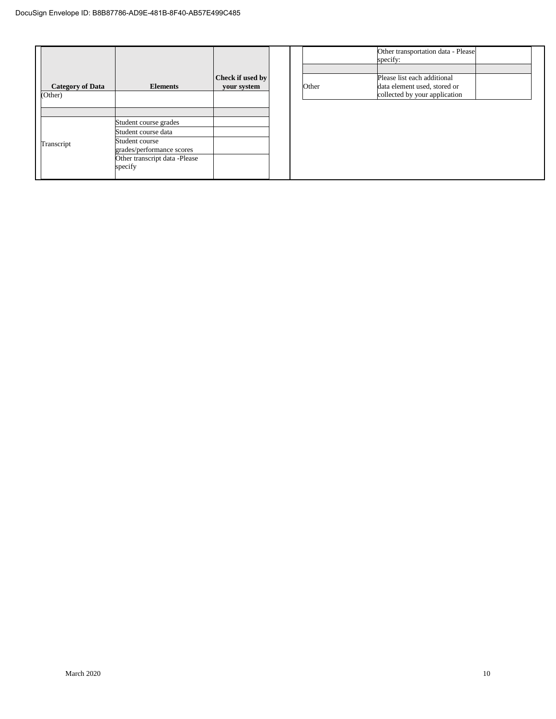|                                    |                                                                              |                                 |  |       | Other transportation data - Please<br>specify:                                               |
|------------------------------------|------------------------------------------------------------------------------|---------------------------------|--|-------|----------------------------------------------------------------------------------------------|
| <b>Category of Data</b><br>(Other) | <b>Elements</b>                                                              | Check if used by<br>your system |  | Other | Please list each additional<br>data element used, stored or<br>collected by your application |
|                                    |                                                                              |                                 |  |       |                                                                                              |
|                                    | Student course grades                                                        |                                 |  |       |                                                                                              |
|                                    | Student course data                                                          |                                 |  |       |                                                                                              |
| Transcript                         | Student course<br>grades/performance scores<br>Other transcript data -Please |                                 |  |       |                                                                                              |
|                                    | specify                                                                      |                                 |  |       |                                                                                              |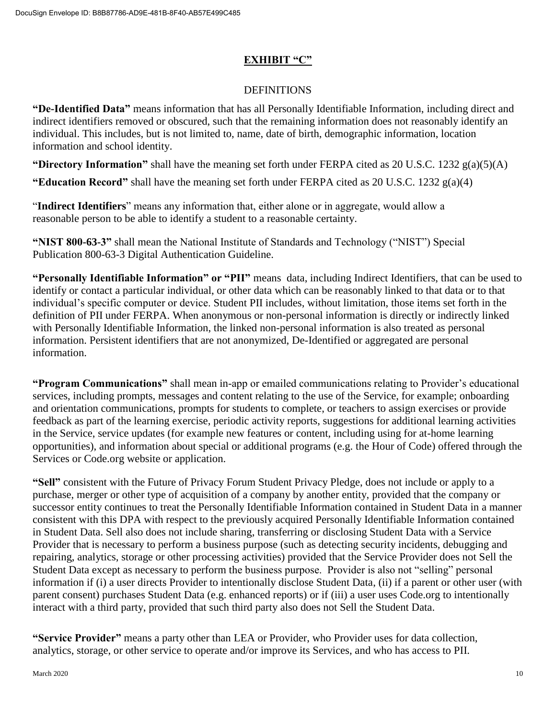## **EXHIBIT "C"**

#### **DEFINITIONS**

**"De-Identified Data"** means information that has all Personally Identifiable Information, including direct and indirect identifiers removed or obscured, such that the remaining information does not reasonably identify an individual. This includes, but is not limited to, name, date of birth, demographic information, location information and school identity.

**"Directory Information"** shall have the meaning set forth under FERPA cited as 20 U.S.C. 1232 g(a)(5)(A)

**"Education Record"** shall have the meaning set forth under FERPA cited as 20 U.S.C. 1232 g(a)(4)

"**Indirect Identifiers**" means any information that, either alone or in aggregate, would allow a reasonable person to be able to identify a student to a reasonable certainty.

**"NIST 800-63-3"** shall mean the National Institute of Standards and Technology ("NIST") Special Publication 800-63-3 Digital Authentication Guideline.

**"Personally Identifiable Information" or "PII"** means data, including Indirect Identifiers, that can be used to identify or contact a particular individual, or other data which can be reasonably linked to that data or to that individual's specific computer or device. Student PII includes, without limitation, those items set forth in the definition of PII under FERPA. When anonymous or non-personal information is directly or indirectly linked with Personally Identifiable Information, the linked non-personal information is also treated as personal information. Persistent identifiers that are not anonymized, De-Identified or aggregated are personal information.

**"Program Communications"** shall mean in-app or emailed communications relating to Provider's educational services, including prompts, messages and content relating to the use of the Service, for example; onboarding and orientation communications, prompts for students to complete, or teachers to assign exercises or provide feedback as part of the learning exercise, periodic activity reports, suggestions for additional learning activities in the Service, service updates (for example new features or content, including using for at-home learning opportunities), and information about special or additional programs (e.g. the Hour of Code) offered through the Services or Code.org website or application.

**"Sell"** consistent with the Future of Privacy Forum Student Privacy Pledge, does not include or apply to a purchase, merger or other type of acquisition of a company by another entity, provided that the company or successor entity continues to treat the Personally Identifiable Information contained in Student Data in a manner consistent with this DPA with respect to the previously acquired Personally Identifiable Information contained in Student Data. Sell also does not include sharing, transferring or disclosing Student Data with a Service Provider that is necessary to perform a business purpose (such as detecting security incidents, debugging and repairing, analytics, storage or other processing activities) provided that the Service Provider does not Sell the Student Data except as necessary to perform the business purpose. Provider is also not "selling" personal information if (i) a user directs Provider to intentionally disclose Student Data, (ii) if a parent or other user (with parent consent) purchases Student Data (e.g. enhanced reports) or if (iii) a user uses Code.org to intentionally interact with a third party, provided that such third party also does not Sell the Student Data.

**"Service Provider"** means a party other than LEA or Provider, who Provider uses for data collection, analytics, storage, or other service to operate and/or improve its Services, and who has access to PII.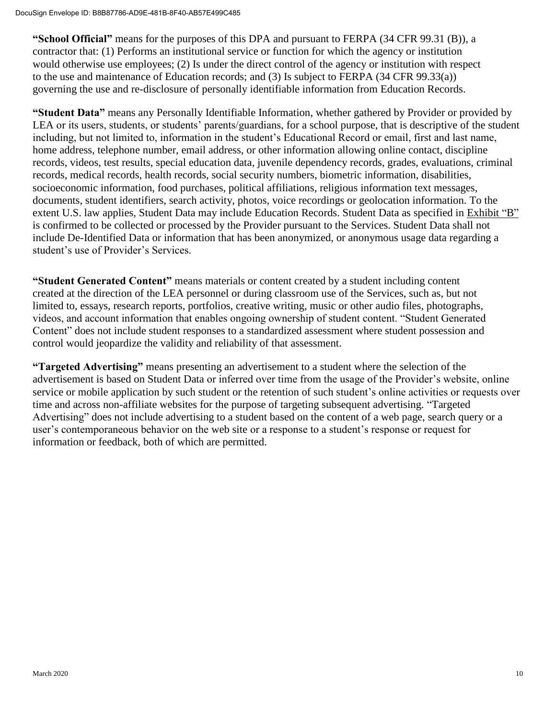**"School Official"** means for the purposes of this DPA and pursuant to FERPA (34 CFR 99.31 (B)), a contractor that: (1) Performs an institutional service or function for which the agency or institution would otherwise use employees; (2) Is under the direct control of the agency or institution with respect to the use and maintenance of Education records; and (3) Is subject to FERPA (34 CFR 99.33(a)) governing the use and re-disclosure of personally identifiable information from Education Records.

**"Student Data"** means any Personally Identifiable Information, whether gathered by Provider or provided by LEA or its users, students, or students' parents/guardians, for a school purpose, that is descriptive of the student including, but not limited to, information in the student's Educational Record or email, first and last name, home address, telephone number, email address, or other information allowing online contact, discipline records, videos, test results, special education data, juvenile dependency records, grades, evaluations, criminal records, medical records, health records, social security numbers, biometric information, disabilities, socioeconomic information, food purchases, political affiliations, religious information text messages, documents, student identifiers, search activity, photos, voice recordings or geolocation information. To the extent U.S. law applies, Student Data may include Education Records. Student Data as specified in Exhibit "B" is confirmed to be collected or processed by the Provider pursuant to the Services. Student Data shall not include De-Identified Data or information that has been anonymized, or anonymous usage data regarding a student's use of Provider's Services.

**"Student Generated Content"** means materials or content created by a student including content created at the direction of the LEA personnel or during classroom use of the Services, such as, but not limited to, essays, research reports, portfolios, creative writing, music or other audio files, photographs, videos, and account information that enables ongoing ownership of student content. "Student Generated Content" does not include student responses to a standardized assessment where student possession and control would jeopardize the validity and reliability of that assessment.

**"Targeted Advertising"** means presenting an advertisement to a student where the selection of the advertisement is based on Student Data or inferred over time from the usage of the Provider's website, online service or mobile application by such student or the retention of such student's online activities or requests over time and across non-affiliate websites for the purpose of targeting subsequent advertising. "Targeted Advertising" does not include advertising to a student based on the content of a web page, search query or a user's contemporaneous behavior on the web site or a response to a student's response or request for information or feedback, both of which are permitted.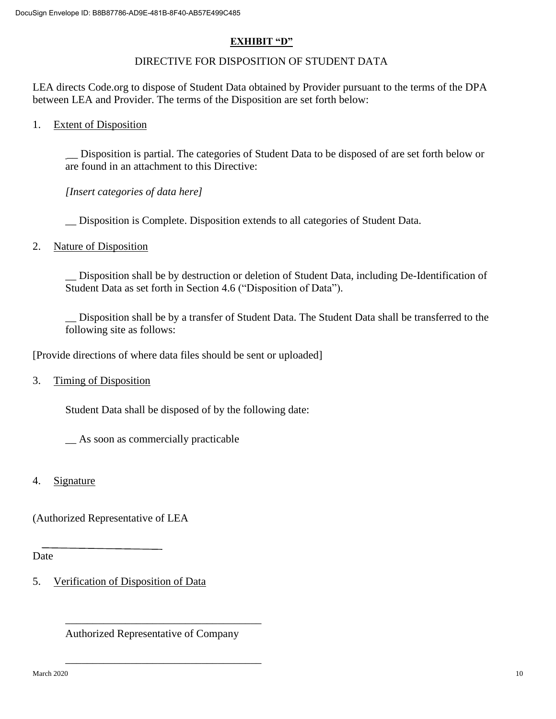#### **EXHIBIT "D"**

### DIRECTIVE FOR DISPOSITION OF STUDENT DATA

LEA directs Code.org to dispose of Student Data obtained by Provider pursuant to the terms of the DPA between LEA and Provider. The terms of the Disposition are set forth below:

1. Extent of Disposition

\_\_ Disposition is partial. The categories of Student Data to be disposed of are set forth below or are found in an attachment to this Directive:

*[Insert categories of data here]*

\_\_ Disposition is Complete. Disposition extends to all categories of Student Data.

2. Nature of Disposition

\_\_ Disposition shall be by destruction or deletion of Student Data, including De-Identification of Student Data as set forth in Section 4.6 ("Disposition of Data").

\_\_ Disposition shall be by a transfer of Student Data. The Student Data shall be transferred to the following site as follows:

[Provide directions of where data files should be sent or uploaded]

3. Timing of Disposition

Student Data shall be disposed of by the following date:

\_\_ As soon as commercially practicable

4. Signature

(Authorized Representative of LEA

Date

5. Verification of Disposition of Data

Authorized Representative of Company

\_\_\_\_\_\_\_\_\_\_\_\_\_\_\_\_\_\_\_\_\_\_\_\_\_\_\_\_\_\_\_\_\_\_\_\_

\_\_\_\_\_\_\_\_\_\_\_\_\_\_\_\_\_\_\_\_\_\_\_\_\_\_\_\_\_\_\_\_\_\_\_\_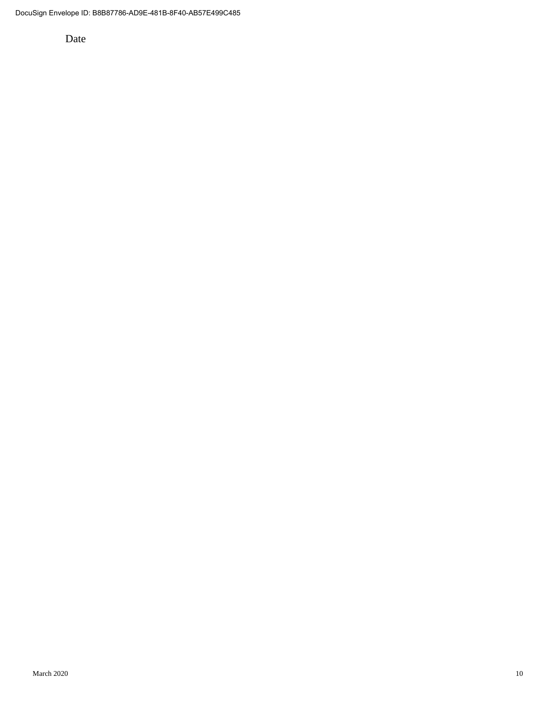Date